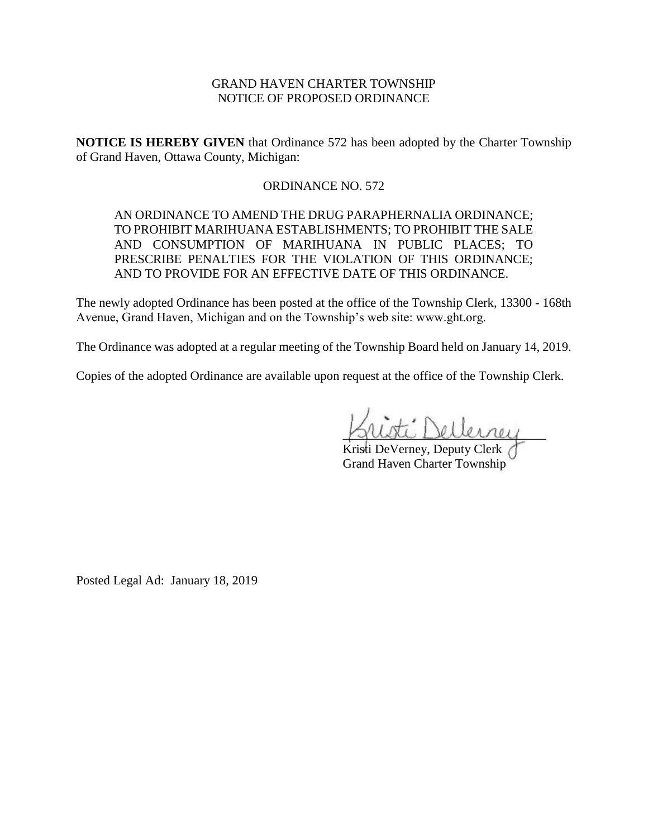### GRAND HAVEN CHARTER TOWNSHIP NOTICE OF PROPOSED ORDINANCE

**NOTICE IS HEREBY GIVEN** that Ordinance 572 has been adopted by the Charter Township of Grand Haven, Ottawa County, Michigan:

### ORDINANCE NO. 572

AN ORDINANCE TO AMEND THE DRUG PARAPHERNALIA ORDINANCE; TO PROHIBIT MARIHUANA ESTABLISHMENTS; TO PROHIBIT THE SALE AND CONSUMPTION OF MARIHUANA IN PUBLIC PLACES; TO PRESCRIBE PENALTIES FOR THE VIOLATION OF THIS ORDINANCE; AND TO PROVIDE FOR AN EFFECTIVE DATE OF THIS ORDINANCE.

The newly adopted Ordinance has been posted at the office of the Township Clerk, 13300 - 168th Avenue, Grand Haven, Michigan and on the Township's web site: www.ght.org.

The Ordinance was adopted at a regular meeting of the Township Board held on January 14, 2019.

Copies of the adopted Ordinance are available upon request at the office of the Township Clerk.

\_\_\_\_\_\_\_\_\_\_\_\_\_\_\_\_\_\_\_\_\_\_\_\_\_\_\_\_\_\_\_\_

Kristi DeVerney, Deputy Clerk Grand Haven Charter Township

Posted Legal Ad: January 18, 2019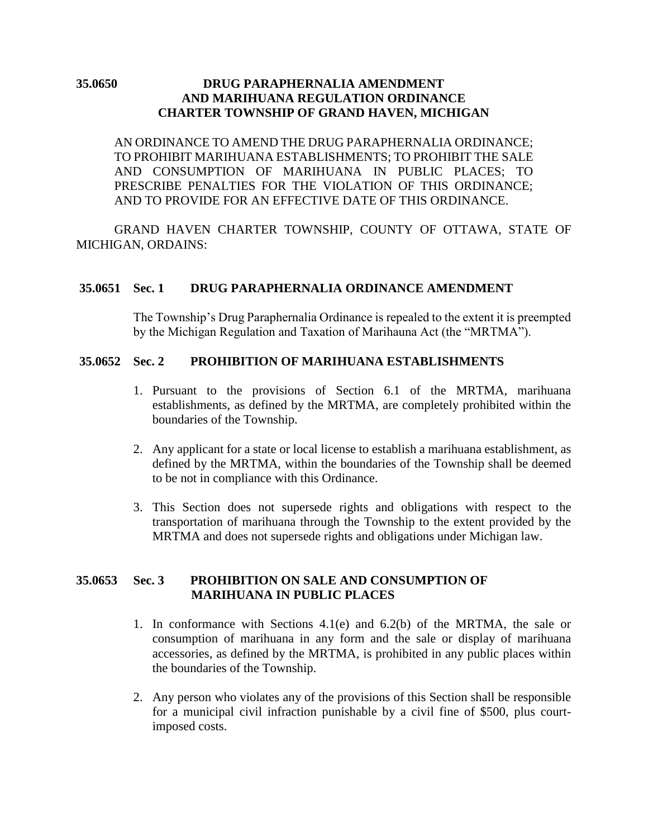## **35.0650 DRUG PARAPHERNALIA AMENDMENT AND MARIHUANA REGULATION ORDINANCE CHARTER TOWNSHIP OF GRAND HAVEN, MICHIGAN**

AN ORDINANCE TO AMEND THE DRUG PARAPHERNALIA ORDINANCE; TO PROHIBIT MARIHUANA ESTABLISHMENTS; TO PROHIBIT THE SALE AND CONSUMPTION OF MARIHUANA IN PUBLIC PLACES; TO PRESCRIBE PENALTIES FOR THE VIOLATION OF THIS ORDINANCE; AND TO PROVIDE FOR AN EFFECTIVE DATE OF THIS ORDINANCE.

GRAND HAVEN CHARTER TOWNSHIP, COUNTY OF OTTAWA, STATE OF MICHIGAN, ORDAINS:

### **35.0651 Sec. 1 DRUG PARAPHERNALIA ORDINANCE AMENDMENT**

The Township's Drug Paraphernalia Ordinance is repealed to the extent it is preempted by the Michigan Regulation and Taxation of Marihauna Act (the "MRTMA").

## **35.0652 Sec. 2 PROHIBITION OF MARIHUANA ESTABLISHMENTS**

- 1. Pursuant to the provisions of Section 6.1 of the MRTMA, marihuana establishments, as defined by the MRTMA, are completely prohibited within the boundaries of the Township.
- 2. Any applicant for a state or local license to establish a marihuana establishment, as defined by the MRTMA, within the boundaries of the Township shall be deemed to be not in compliance with this Ordinance.
- 3. This Section does not supersede rights and obligations with respect to the transportation of marihuana through the Township to the extent provided by the MRTMA and does not supersede rights and obligations under Michigan law.

## **35.0653 Sec. 3 PROHIBITION ON SALE AND CONSUMPTION OF MARIHUANA IN PUBLIC PLACES**

- 1. In conformance with Sections 4.1(e) and 6.2(b) of the MRTMA, the sale or consumption of marihuana in any form and the sale or display of marihuana accessories, as defined by the MRTMA, is prohibited in any public places within the boundaries of the Township.
- 2. Any person who violates any of the provisions of this Section shall be responsible for a municipal civil infraction punishable by a civil fine of \$500, plus courtimposed costs.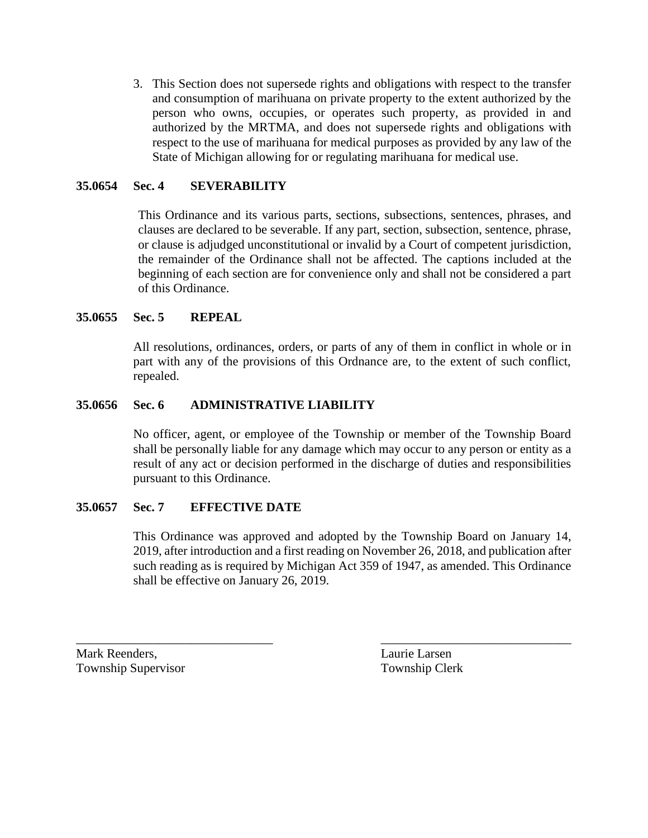3. This Section does not supersede rights and obligations with respect to the transfer and consumption of marihuana on private property to the extent authorized by the person who owns, occupies, or operates such property, as provided in and authorized by the MRTMA, and does not supersede rights and obligations with respect to the use of marihuana for medical purposes as provided by any law of the State of Michigan allowing for or regulating marihuana for medical use.

# **35.0654 Sec. 4 SEVERABILITY**

This Ordinance and its various parts, sections, subsections, sentences, phrases, and clauses are declared to be severable. If any part, section, subsection, sentence, phrase, or clause is adjudged unconstitutional or invalid by a Court of competent jurisdiction, the remainder of the Ordinance shall not be affected. The captions included at the beginning of each section are for convenience only and shall not be considered a part of this Ordinance.

## **35.0655 Sec. 5 REPEAL**

All resolutions, ordinances, orders, or parts of any of them in conflict in whole or in part with any of the provisions of this Ordnance are, to the extent of such conflict, repealed.

## **35.0656 Sec. 6 ADMINISTRATIVE LIABILITY**

No officer, agent, or employee of the Township or member of the Township Board shall be personally liable for any damage which may occur to any person or entity as a result of any act or decision performed in the discharge of duties and responsibilities pursuant to this Ordinance.

### **35.0657 Sec. 7 EFFECTIVE DATE**

This Ordinance was approved and adopted by the Township Board on January 14, 2019, after introduction and a first reading on November 26, 2018, and publication after such reading as is required by Michigan Act 359 of 1947, as amended. This Ordinance shall be effective on January 26, 2019.

\_\_\_\_\_\_\_\_\_\_\_\_\_\_\_\_\_\_\_\_\_\_\_\_\_\_\_\_\_\_\_ \_\_\_\_\_\_\_\_\_\_\_\_\_\_\_\_\_\_\_\_\_\_\_\_\_\_\_\_\_\_

Mark Reenders, Laurie Larsen Township Supervisor Township Clerk